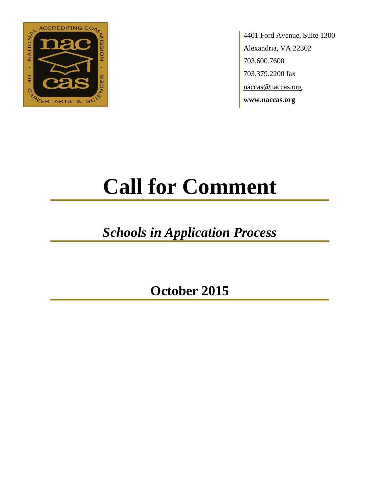

4401 Ford Avenue, Suite 1300 Alexandria, VA 22302 703.600.7600 703.379.2200 fax naccas@naccas.org **www.naccas.org**

# **Call for Comment**

## *Schools in Application Process*

**October 2015**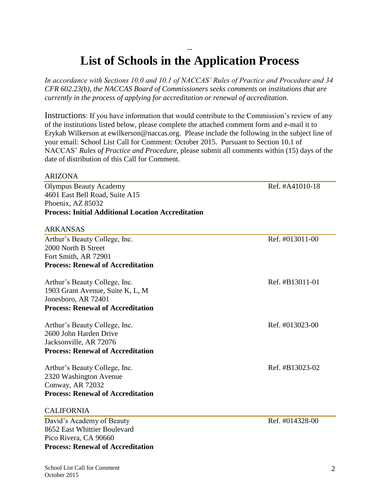#### -- **List of Schools in the Application Process**

*In accordance with Sections 10.0 and 10.1 of NACCAS' Rules of Practice and Procedure and 34 CFR 602.23(b), the NACCAS Board of Commissioners seeks comments on institutions that are currently in the process of applying for accreditation or renewal of accreditation.*

Instructions: If you have information that would contribute to the Commission's review of any of the institutions listed below, please complete the attached comment form and e-mail it to Erykah Wilkerson at ewilkerson@naccas.org. Please include the following in the subject line of your email: School List Call for Comment: October 2015. Pursuant to Section 10.1 of NACCAS' *Rules of Practice and Procedure*, please submit all comments within (15) days of the date of distribution of this Call for Comment.

#### ARIZONA

Olympus Beauty Academy **Ref.** #A41010-18 4601 East Bell Road, Suite A15 Phoenix, AZ 85032 **Process: Initial Additional Location Accreditation**

#### ARKANSAS

| Arthur's Beauty College, Inc.                                                                                                        | Ref. #013011-00 |
|--------------------------------------------------------------------------------------------------------------------------------------|-----------------|
| 2000 North B Street                                                                                                                  |                 |
| Fort Smith, AR 72901                                                                                                                 |                 |
| <b>Process: Renewal of Accreditation</b>                                                                                             |                 |
| Arthur's Beauty College, Inc.<br>1903 Grant Avenue, Suite K, L, M<br>Jonesboro, AR 72401<br><b>Process: Renewal of Accreditation</b> | Ref. #B13011-01 |
| Arthur's Beauty College, Inc.<br>2600 John Harden Drive<br>Jacksonville, AR 72076<br><b>Process: Renewal of Accreditation</b>        | Ref. #013023-00 |
| Arthur's Beauty College, Inc.<br>2320 Washington Avenue<br>Conway, AR 72032<br><b>Process: Renewal of Accreditation</b>              | Ref. #B13023-02 |
| <b>CALIFORNIA</b>                                                                                                                    |                 |
| David's Academy of Beauty                                                                                                            | Ref. #014328-00 |
| 8652 East Whittier Boulevard                                                                                                         |                 |
| Pico Rivera, CA 90660                                                                                                                |                 |

**Process: Renewal of Accreditation**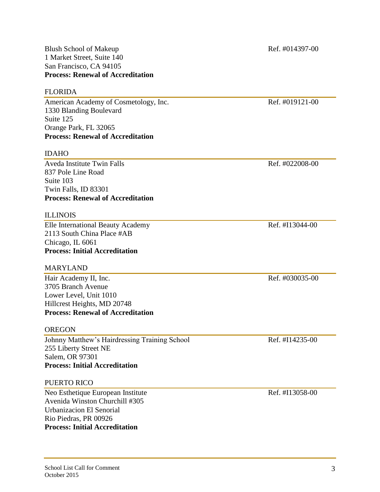#### FLORIDA

American Academy of Cosmetology, Inc. Ref. #019121-00 1330 Blanding Boulevard Suite 125 Orange Park, FL 32065 **Process: Renewal of Accreditation**

#### IDAHO

Aveda Institute Twin Falls Ref. #022008-00 837 Pole Line Road Suite 103 Twin Falls, ID 83301 **Process: Renewal of Accreditation**

#### ILLINOIS

Elle International Beauty Academy **Ref.** #I13044-00 2113 South China Place #AB Chicago, IL 6061 **Process: Initial Accreditation**

#### MARYLAND

Hair Academy II, Inc. Ref. #030035-00 3705 Branch Avenue Lower Level, Unit 1010 Hillcrest Heights, MD 20748 **Process: Renewal of Accreditation**

#### **OREGON**

Johnny Matthew's Hairdressing Training School Ref. #I14235-00 255 Liberty Street NE Salem, OR 97301 **Process: Initial Accreditation**

#### PUERTO RICO

Neo Esthetique European Institute Ref. #I13058-00 Avenida Winston Churchill #305 Urbanizacion El Senorial Rio Piedras, PR 00926 **Process: Initial Accreditation**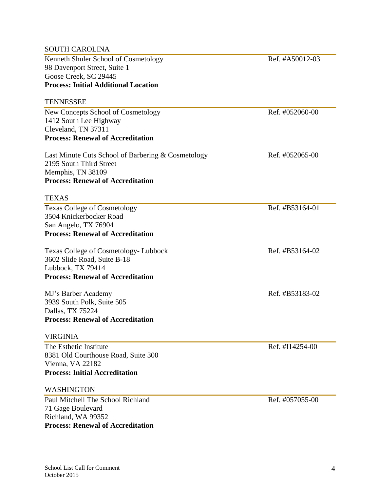| <b>SOUTH CAROLINA</b>                              |                 |
|----------------------------------------------------|-----------------|
| Kenneth Shuler School of Cosmetology               | Ref. #A50012-03 |
| 98 Davenport Street, Suite 1                       |                 |
| Goose Creek, SC 29445                              |                 |
| <b>Process: Initial Additional Location</b>        |                 |
| <b>TENNESSEE</b>                                   |                 |
| New Concepts School of Cosmetology                 | Ref. #052060-00 |
| 1412 South Lee Highway                             |                 |
| Cleveland, TN 37311                                |                 |
| <b>Process: Renewal of Accreditation</b>           |                 |
| Last Minute Cuts School of Barbering & Cosmetology | Ref. #052065-00 |
| 2195 South Third Street                            |                 |
| Memphis, TN 38109                                  |                 |
| <b>Process: Renewal of Accreditation</b>           |                 |
| <b>TEXAS</b>                                       |                 |
| <b>Texas College of Cosmetology</b>                | Ref. #B53164-01 |
| 3504 Knickerbocker Road                            |                 |
| San Angelo, TX 76904                               |                 |
| <b>Process: Renewal of Accreditation</b>           |                 |
| Texas College of Cosmetology- Lubbock              | Ref. #B53164-02 |
| 3602 Slide Road, Suite B-18                        |                 |
| Lubbock, TX 79414                                  |                 |
| <b>Process: Renewal of Accreditation</b>           |                 |
| MJ's Barber Academy                                | Ref. #B53183-02 |
| 3939 South Polk, Suite 505                         |                 |
| Dallas, TX 75224                                   |                 |
| <b>Process: Renewal of Accreditation</b>           |                 |
| <b>VIRGINIA</b>                                    |                 |
| The Esthetic Institute                             | Ref. #I14254-00 |
| 8381 Old Courthouse Road, Suite 300                |                 |
| Vienna, VA 22182                                   |                 |
| <b>Process: Initial Accreditation</b>              |                 |
| <b>WASHINGTON</b>                                  |                 |
| Paul Mitchell The School Richland                  | Ref. #057055-00 |
| 71 Gage Boulevard                                  |                 |
| Richland, WA 99352                                 |                 |
| <b>Process: Renewal of Accreditation</b>           |                 |
|                                                    |                 |